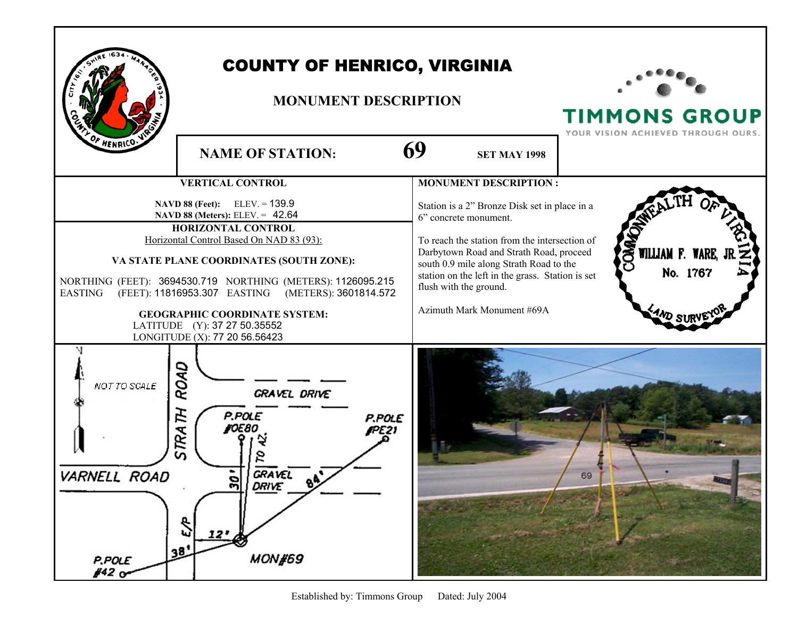|                                                  | <b>COUNTY OF HENRICO, VIRGINIA</b><br><b>MONUMENT DESCRIPTION</b>                                                                                                                                                                                                                                                                                                                                                                                  | <b>TIMMONS GROUP</b><br>ON ACHIEVED THROUGH O                                                                                                                                                                                                                                                                                                             |                                                          |
|--------------------------------------------------|----------------------------------------------------------------------------------------------------------------------------------------------------------------------------------------------------------------------------------------------------------------------------------------------------------------------------------------------------------------------------------------------------------------------------------------------------|-----------------------------------------------------------------------------------------------------------------------------------------------------------------------------------------------------------------------------------------------------------------------------------------------------------------------------------------------------------|----------------------------------------------------------|
| OF HENRICO.V                                     | <b>NAME OF STATION:</b>                                                                                                                                                                                                                                                                                                                                                                                                                            | 69<br><b>SET MAY 1998</b>                                                                                                                                                                                                                                                                                                                                 |                                                          |
| <b>EASTING</b>                                   | <b>VERTICAL CONTROL</b><br>$ELEV = 139.9$<br>NAVD 88 (Feet):<br>NAVD 88 (Meters): ELEV. = 42.64<br><b>HORIZONTAL CONTROL</b><br>Horizontal Control Based On NAD 83 (93):<br>VA STATE PLANE COORDINATES (SOUTH ZONE):<br>NORTHING (FEET): 3694530.719 NORTHING (METERS): 1126095.215<br>(FEET): 11816953.307 EASTING (METERS): 3601814.572<br><b>GEOGRAPHIC COORDINATE SYSTEM:</b><br>LATITUDE (Y): 37 27 50.35552<br>LONGITUDE (X): 77 20 56.56423 | <b>MONUMENT DESCRIPTION:</b><br>Station is a 2" Bronze Disk set in place in a<br>6" concrete monument.<br>To reach the station from the intersection of<br>Darbytown Road and Strath Road, proceed<br>south 0.9 mile along Strath Road to the<br>station on the left in the grass. Station is set<br>flush with the ground.<br>Azimuth Mark Monument #69A | COMMO<br>WILLIAM F. WARE, J<br>No. 1767<br><b>AND SU</b> |
| NOT TO SCALE<br>VARNELL ROAD<br>P.POLE<br>#42 or | ROAD<br>GRAVEL DRIVE<br>STRATH<br>P.POLE<br>P.POLE<br><b>FOE80</b><br>FPE 21<br><b>GRAVEL</b><br>ຕ<br><b>DRIVE</b><br>J.<br>12'<br>38.<br><b>MON#69</b>                                                                                                                                                                                                                                                                                            |                                                                                                                                                                                                                                                                                                                                                           | 69                                                       |

Г